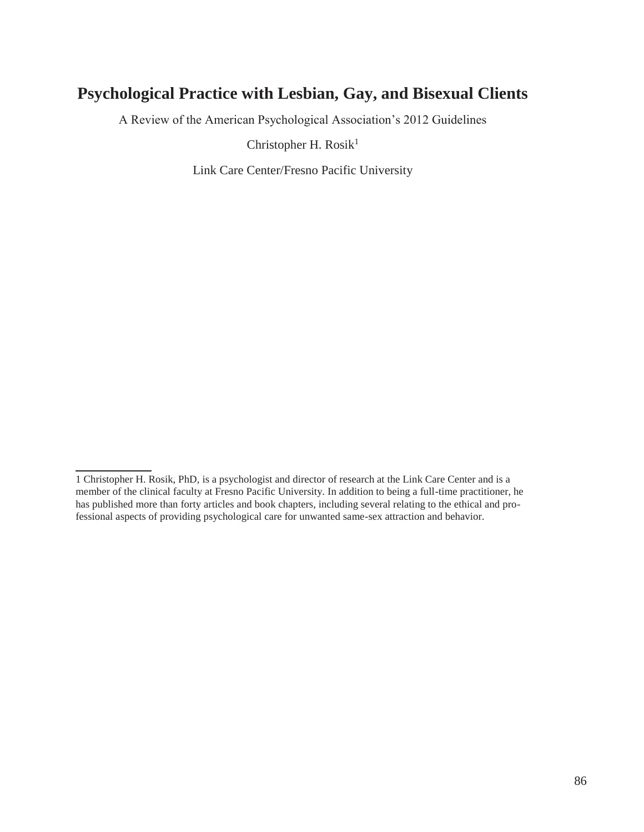## **Psychological Practice with Lesbian, Gay, and Bisexual Clients**

A Review of the American Psychological Association's 2012 Guidelines

Christopher H. Rosik<sup>1</sup>

Link Care Center/Fresno Pacific University

<sup>1</sup> Christopher H. Rosik, PhD, is a psychologist and director of research at the Link Care Center and is a member of the clinical faculty at Fresno Pacific University. In addition to being a full-time practitioner, he has published more than forty articles and book chapters, including several relating to the ethical and professional aspects of providing psychological care for unwanted same-sex attraction and behavior.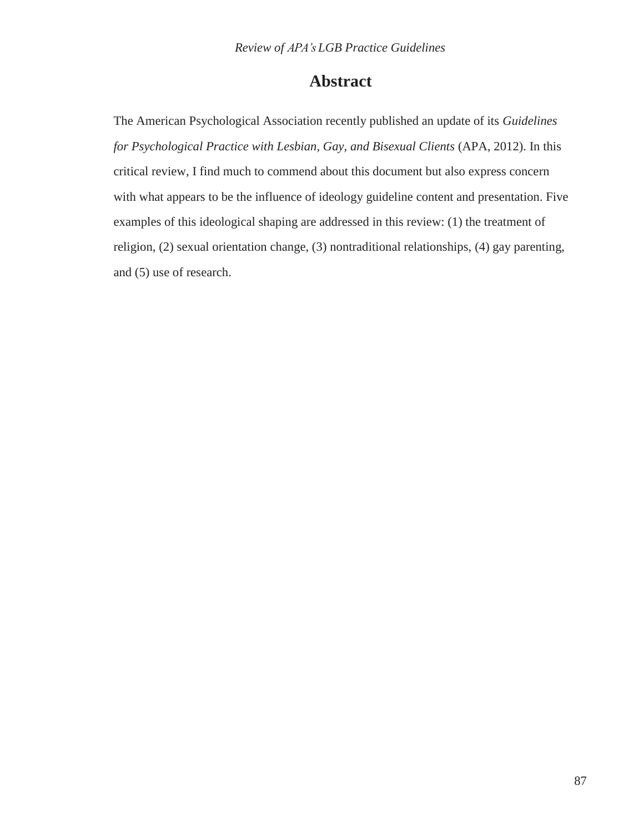## **Abstract**

The American Psychological Association recently published an update of its *Guidelines for Psychological Practice with Lesbian, Gay, and Bisexual Clients* (APA, 2012). In this critical review, I find much to commend about this document but also express concern with what appears to be the influence of ideology guideline content and presentation. Five examples of this ideological shaping are addressed in this review: (1) the treatment of religion, (2) sexual orientation change, (3) nontraditional relationships, (4) gay parenting, and (5) use of research.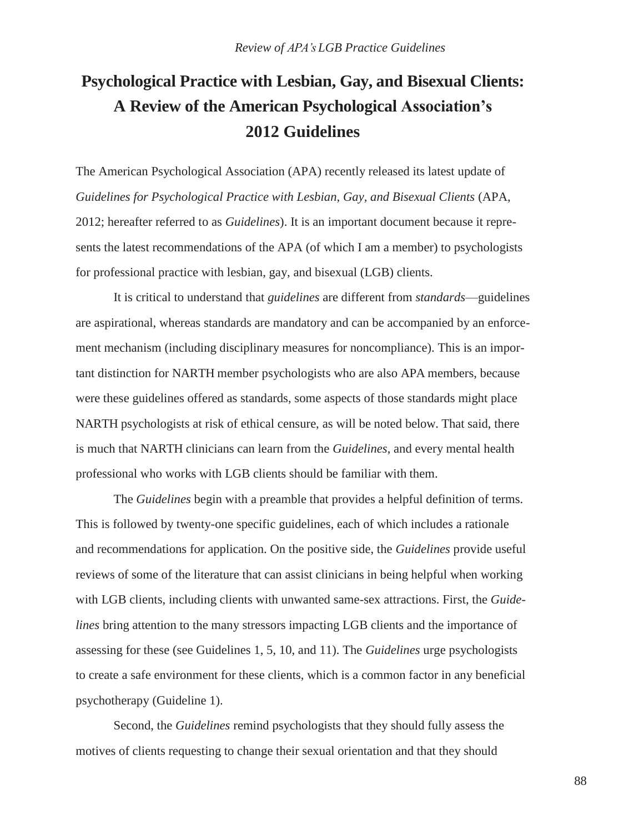# **Psychological Practice with Lesbian, Gay, and Bisexual Clients: A Review of the American Psychological Association's 2012 Guidelines**

The American Psychological Association (APA) recently released its latest update of *Guidelines for Psychological Practice with Lesbian, Gay, and Bisexual Clients* (APA, 2012; hereafter referred to as *Guidelines*). It is an important document because it represents the latest recommendations of the APA (of which I am a member) to psychologists for professional practice with lesbian, gay, and bisexual (LGB) clients.

It is critical to understand that *guidelines* are different from *standards*—guidelines are aspirational, whereas standards are mandatory and can be accompanied by an enforcement mechanism (including disciplinary measures for noncompliance). This is an important distinction for NARTH member psychologists who are also APA members, because were these guidelines offered as standards, some aspects of those standards might place NARTH psychologists at risk of ethical censure, as will be noted below. That said, there is much that NARTH clinicians can learn from the *Guidelines*, and every mental health professional who works with LGB clients should be familiar with them.

The *Guidelines* begin with a preamble that provides a helpful definition of terms. This is followed by twenty-one specific guidelines, each of which includes a rationale and recommendations for application. On the positive side, the *Guidelines* provide useful reviews of some of the literature that can assist clinicians in being helpful when working with LGB clients, including clients with unwanted same-sex attractions. First, the *Guidelines* bring attention to the many stressors impacting LGB clients and the importance of assessing for these (see Guidelines 1, 5, 10, and 11). The *Guidelines* urge psychologists to create a safe environment for these clients, which is a common factor in any beneficial psychotherapy (Guideline 1).

Second, the *Guidelines* remind psychologists that they should fully assess the motives of clients requesting to change their sexual orientation and that they should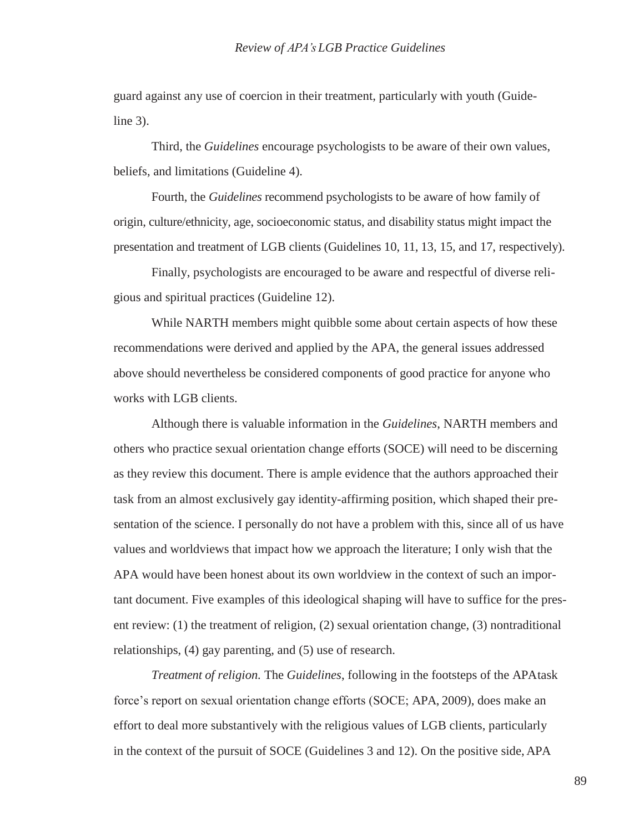guard against any use of coercion in their treatment, particularly with youth (Guideline 3).

Third, the *Guidelines* encourage psychologists to be aware of their own values, beliefs, and limitations (Guideline 4).

Fourth, the *Guidelines* recommend psychologists to be aware of how family of origin, culture/ethnicity, age, socioeconomic status, and disability status might impact the presentation and treatment of LGB clients (Guidelines 10, 11, 13, 15, and 17, respectively).

Finally, psychologists are encouraged to be aware and respectful of diverse religious and spiritual practices (Guideline 12).

While NARTH members might quibble some about certain aspects of how these recommendations were derived and applied by the APA, the general issues addressed above should nevertheless be considered components of good practice for anyone who works with LGB clients.

Although there is valuable information in the *Guidelines*, NARTH members and others who practice sexual orientation change efforts (SOCE) will need to be discerning as they review this document. There is ample evidence that the authors approached their task from an almost exclusively gay identity-affirming position, which shaped their presentation of the science. I personally do not have a problem with this, since all of us have values and worldviews that impact how we approach the literature; I only wish that the APA would have been honest about its own worldview in the context of such an important document. Five examples of this ideological shaping will have to suffice for the present review: (1) the treatment of religion, (2) sexual orientation change, (3) nontraditional relationships, (4) gay parenting, and (5) use of research.

*Treatment of religion.* The *Guidelines*, following in the footsteps of the APAtask force's report on sexual orientation change efforts (SOCE; APA, 2009), does make an effort to deal more substantively with the religious values of LGB clients, particularly in the context of the pursuit of SOCE (Guidelines 3 and 12). On the positive side, APA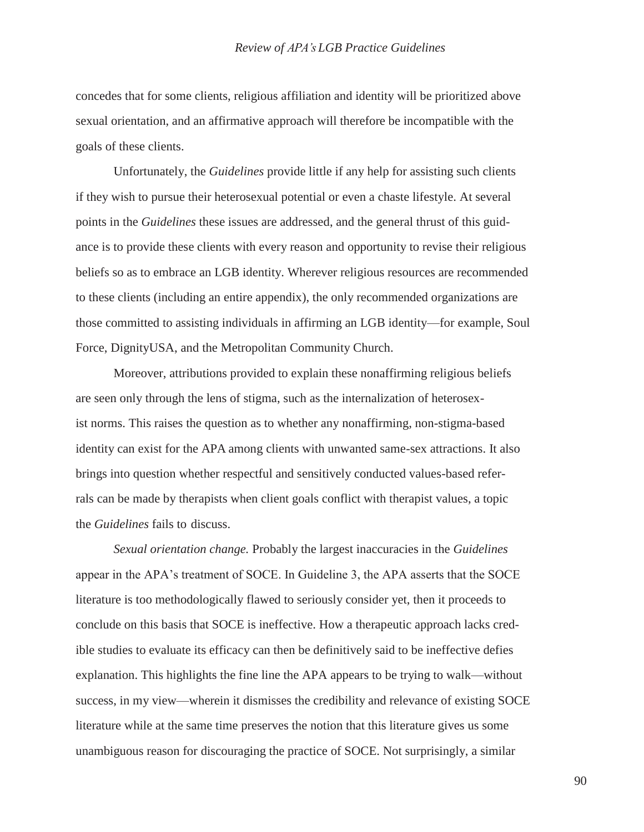concedes that for some clients, religious affiliation and identity will be prioritized above sexual orientation, and an affirmative approach will therefore be incompatible with the goals of these clients.

Unfortunately, the *Guidelines* provide little if any help for assisting such clients if they wish to pursue their heterosexual potential or even a chaste lifestyle. At several points in the *Guidelines* these issues are addressed, and the general thrust of this guidance is to provide these clients with every reason and opportunity to revise their religious beliefs so as to embrace an LGB identity. Wherever religious resources are recommended to these clients (including an entire appendix), the only recommended organizations are those committed to assisting individuals in affirming an LGB identity—for example, Soul Force, DignityUSA, and the Metropolitan Community Church.

Moreover, attributions provided to explain these nonaffirming religious beliefs are seen only through the lens of stigma, such as the internalization of heterosexist norms. This raises the question as to whether any nonaffirming, non-stigma-based identity can exist for the APA among clients with unwanted same-sex attractions. It also brings into question whether respectful and sensitively conducted values-based referrals can be made by therapists when client goals conflict with therapist values, a topic the *Guidelines* fails to discuss.

*Sexual orientation change.* Probably the largest inaccuracies in the *Guidelines*  appear in the APA's treatment of SOCE. In Guideline 3, the APA asserts that the SOCE literature is too methodologically flawed to seriously consider yet, then it proceeds to conclude on this basis that SOCE is ineffective. How a therapeutic approach lacks credible studies to evaluate its efficacy can then be definitively said to be ineffective defies explanation. This highlights the fine line the APA appears to be trying to walk—without success, in my view—wherein it dismisses the credibility and relevance of existing SOCE literature while at the same time preserves the notion that this literature gives us some unambiguous reason for discouraging the practice of SOCE. Not surprisingly, a similar

90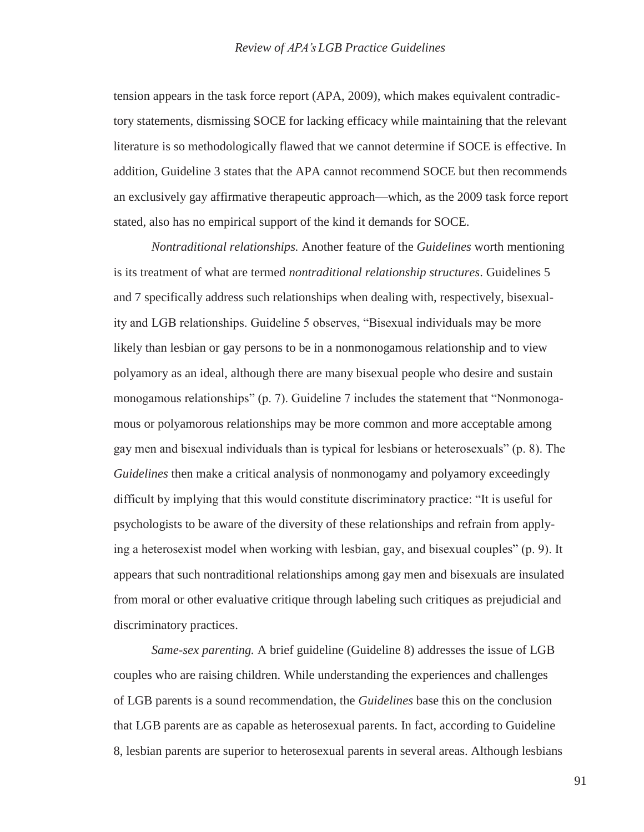tension appears in the task force report (APA, 2009), which makes equivalent contradictory statements, dismissing SOCE for lacking efficacy while maintaining that the relevant literature is so methodologically flawed that we cannot determine if SOCE is effective. In addition, Guideline 3 states that the APA cannot recommend SOCE but then recommends an exclusively gay affirmative therapeutic approach—which, as the 2009 task force report stated, also has no empirical support of the kind it demands for SOCE.

*Nontraditional relationships.* Another feature of the *Guidelines* worth mentioning is its treatment of what are termed *nontraditional relationship structures*. Guidelines 5 and 7 specifically address such relationships when dealing with, respectively, bisexuality and LGB relationships. Guideline 5 observes, "Bisexual individuals may be more likely than lesbian or gay persons to be in a nonmonogamous relationship and to view polyamory as an ideal, although there are many bisexual people who desire and sustain monogamous relationships" (p. 7). Guideline 7 includes the statement that "Nonmonogamous or polyamorous relationships may be more common and more acceptable among gay men and bisexual individuals than is typical for lesbians or heterosexuals" (p. 8). The *Guidelines* then make a critical analysis of nonmonogamy and polyamory exceedingly difficult by implying that this would constitute discriminatory practice: "It is useful for psychologists to be aware of the diversity of these relationships and refrain from applying a heterosexist model when working with lesbian, gay, and bisexual couples" (p. 9). It appears that such nontraditional relationships among gay men and bisexuals are insulated from moral or other evaluative critique through labeling such critiques as prejudicial and discriminatory practices.

*Same-sex parenting.* A brief guideline (Guideline 8) addresses the issue of LGB couples who are raising children. While understanding the experiences and challenges of LGB parents is a sound recommendation, the *Guidelines* base this on the conclusion that LGB parents are as capable as heterosexual parents. In fact, according to Guideline 8, lesbian parents are superior to heterosexual parents in several areas. Although lesbians

91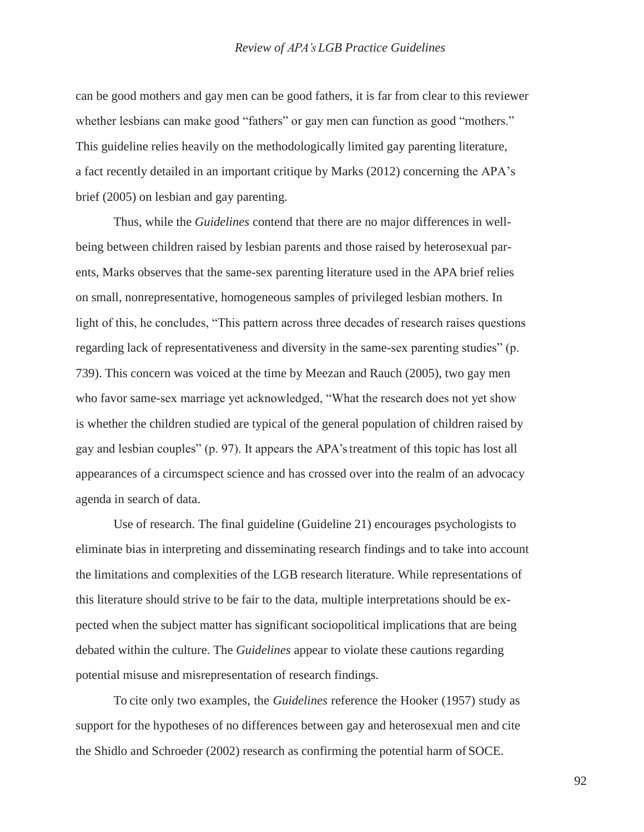#### *Review of APA's LGB Practice Guidelines*

can be good mothers and gay men can be good fathers, it is far from clear to this reviewer whether lesbians can make good "fathers" or gay men can function as good "mothers." This guideline relies heavily on the methodologically limited gay parenting literature, a fact recently detailed in an important critique by Marks (2012) concerning the APA's brief (2005) on lesbian and gay parenting.

Thus, while the *Guidelines* contend that there are no major differences in wellbeing between children raised by lesbian parents and those raised by heterosexual parents, Marks observes that the same-sex parenting literature used in the APA brief relies on small, nonrepresentative, homogeneous samples of privileged lesbian mothers. In light of this, he concludes, "This pattern across three decades of research raises questions regarding lack of representativeness and diversity in the same-sex parenting studies" (p. 739). This concern was voiced at the time by Meezan and Rauch (2005), two gay men who favor same-sex marriage yet acknowledged, "What the research does not yet show is whether the children studied are typical of the general population of children raised by gay and lesbian couples" (p. 97). It appears the APA's treatment of this topic has lost all appearances of a circumspect science and has crossed over into the realm of an advocacy agenda in search of data.

Use of research. The final guideline (Guideline 21) encourages psychologists to eliminate bias in interpreting and disseminating research findings and to take into account the limitations and complexities of the LGB research literature. While representations of this literature should strive to be fair to the data, multiple interpretations should be expected when the subject matter has significant sociopolitical implications that are being debated within the culture. The *Guidelines* appear to violate these cautions regarding potential misuse and misrepresentation of research findings.

To cite only two examples, the *Guidelines* reference the Hooker (1957) study as support for the hypotheses of no differences between gay and heterosexual men and cite the Shidlo and Schroeder (2002) research as confirming the potential harm of SOCE.

92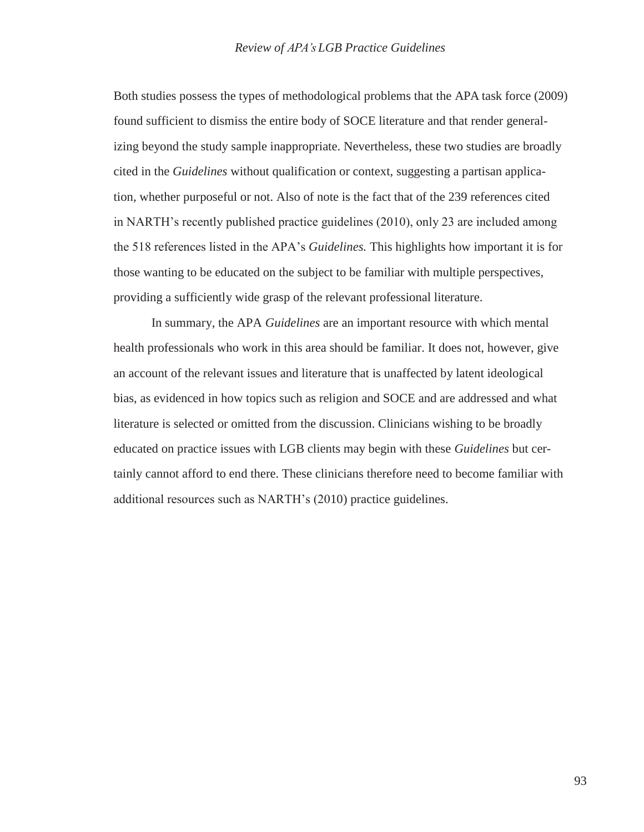Both studies possess the types of methodological problems that the APA task force (2009) found sufficient to dismiss the entire body of SOCE literature and that render generalizing beyond the study sample inappropriate. Nevertheless, these two studies are broadly cited in the *Guidelines* without qualification or context, suggesting a partisan application, whether purposeful or not. Also of note is the fact that of the 239 references cited in NARTH's recently published practice guidelines (2010), only 23 are included among the 518 references listed in the APA's *Guidelines.* This highlights how important it is for those wanting to be educated on the subject to be familiar with multiple perspectives, providing a sufficiently wide grasp of the relevant professional literature.

In summary, the APA *Guidelines* are an important resource with which mental health professionals who work in this area should be familiar. It does not, however, give an account of the relevant issues and literature that is unaffected by latent ideological bias, as evidenced in how topics such as religion and SOCE and are addressed and what literature is selected or omitted from the discussion. Clinicians wishing to be broadly educated on practice issues with LGB clients may begin with these *Guidelines* but certainly cannot afford to end there. These clinicians therefore need to become familiar with additional resources such as NARTH's (2010) practice guidelines.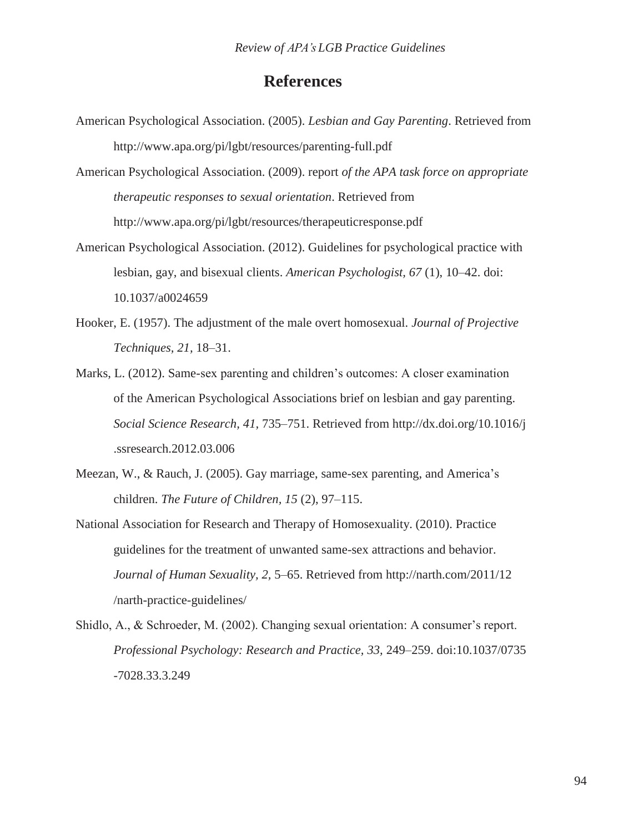### **References**

- American Psychological Association. (2005). *Lesbian and Gay Parenting*. Retrieved from <http://www.apa.org/pi/lgbt/resources/parenting-full.pdf>
- American Psychological Association. (2009). report *of the APA task force on appropriate therapeutic responses to sexual orientation*. Retrieved from <http://www.apa.org/pi/lgbt/resources/therapeuticresponse.pdf>
- American Psychological Association. (2012). Guidelines for psychological practice with lesbian, gay, and bisexual clients. *American Psychologist, 67* (1), 10–42. doi: 10.1037/a0024659
- Hooker, E. (1957). The adjustment of the male overt homosexual. *Journal of Projective Techniques, 21,* 18–31.
- Marks, L. (2012). Same-sex parenting and children's outcomes: A closer examination of the American Psychological Associations brief on lesbian and gay parenting. *Social Science Research, 41,* 735–751. Retrieved from<http://dx.doi.org/10.1016/j> .ssresearch.2012.03.006
- Meezan, W., & Rauch, J. (2005). Gay marriage, same-sex parenting, and America's children. *The Future of Children, 15* (2), 97–115.
- National Association for Research and Therapy of Homosexuality. (2010). Practice guidelines for the treatment of unwanted same-sex attractions and behavior. *Journal of Human Sexuality, 2,* 5–65. Retrieved from<http://narth.com/2011/12> /narth-practice-guidelines/
- Shidlo, A., & Schroeder, M. (2002). Changing sexual orientation: A consumer's report. *Professional Psychology: Research and Practice, 33,* 249–259. doi:10.1037/0735 -7028.33.3.249